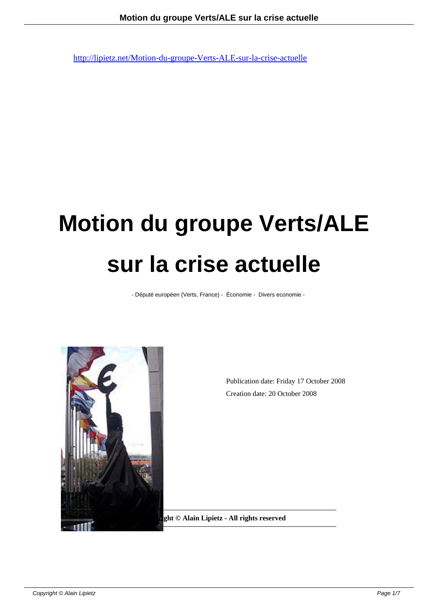# **Motion du groupe Verts/ALE sur la crise actuelle**

- Député européen (Verts, France) - Économie - Divers economie -



Publication date: Friday 17 October 2008 Creation date: 20 October 2008

**Copyright © Alain Lipietz - All rights reserved**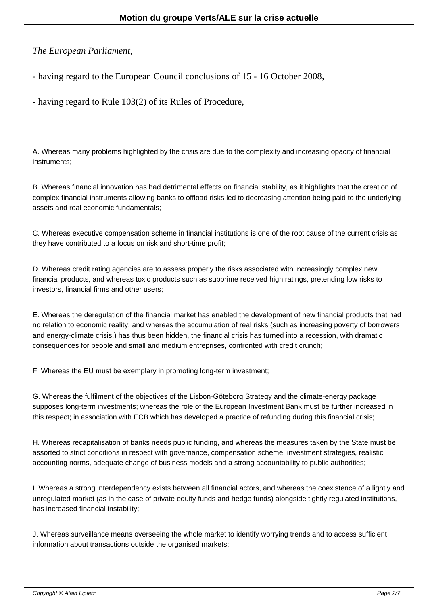## *The European Parliament*,

- having regard to the European Council conclusions of 15 - 16 October 2008,

- having regard to Rule 103(2) of its Rules of Procedure,

A. Whereas many problems highlighted by the crisis are due to the complexity and increasing opacity of financial instruments;

B. Whereas financial innovation has had detrimental effects on financial stability, as it highlights that the creation of complex financial instruments allowing banks to offload risks led to decreasing attention being paid to the underlying assets and real economic fundamentals;

C. Whereas executive compensation scheme in financial institutions is one of the root cause of the current crisis as they have contributed to a focus on risk and short-time profit;

D. Whereas credit rating agencies are to assess properly the risks associated with increasingly complex new financial products, and whereas toxic products such as subprime received high ratings, pretending low risks to investors, financial firms and other users;

E. Whereas the deregulation of the financial market has enabled the development of new financial products that had no relation to economic reality; and whereas the accumulation of real risks (such as increasing poverty of borrowers and energy-climate crisis,) has thus been hidden, the financial crisis has turned into a recession, with dramatic consequences for people and small and medium entreprises, confronted with credit crunch;

F. Whereas the EU must be exemplary in promoting long-term investment;

G. Whereas the fulfilment of the objectives of the Lisbon-Göteborg Strategy and the climate-energy package supposes long-term investments; whereas the role of the European Investment Bank must be further increased in this respect; in association with ECB which has developed a practice of refunding during this financial crisis;

H. Whereas recapitalisation of banks needs public funding, and whereas the measures taken by the State must be assorted to strict conditions in respect with governance, compensation scheme, investment strategies, realistic accounting norms, adequate change of business models and a strong accountability to public authorities;

I. Whereas a strong interdependency exists between all financial actors, and whereas the coexistence of a lightly and unregulated market (as in the case of private equity funds and hedge funds) alongside tightly regulated institutions, has increased financial instability;

J. Whereas surveillance means overseeing the whole market to identify worrying trends and to access sufficient information about transactions outside the organised markets;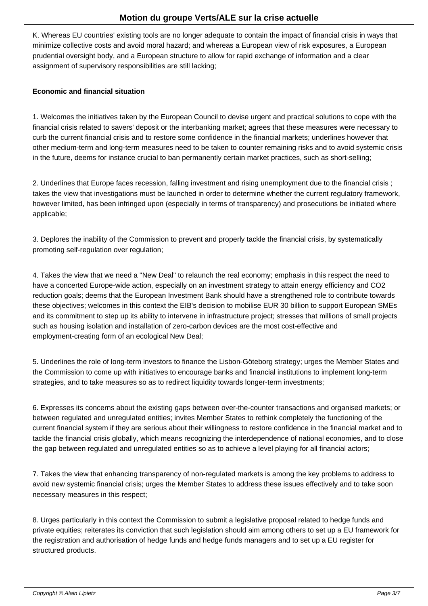K. Whereas EU countries' existing tools are no longer adequate to contain the impact of financial crisis in ways that minimize collective costs and avoid moral hazard; and whereas a European view of risk exposures, a European prudential oversight body, and a European structure to allow for rapid exchange of information and a clear assignment of supervisory responsibilities are still lacking;

### **Economic and financial situation**

1. Welcomes the initiatives taken by the European Council to devise urgent and practical solutions to cope with the financial crisis related to savers' deposit or the interbanking market; agrees that these measures were necessary to curb the current financial crisis and to restore some confidence in the financial markets; underlines however that other medium-term and long-term measures need to be taken to counter remaining risks and to avoid systemic crisis in the future, deems for instance crucial to ban permanently certain market practices, such as short-selling;

2. Underlines that Europe faces recession, falling investment and rising unemployment due to the financial crisis ; takes the view that investigations must be launched in order to determine whether the current regulatory framework, however limited, has been infringed upon (especially in terms of transparency) and prosecutions be initiated where applicable;

3. Deplores the inability of the Commission to prevent and properly tackle the financial crisis, by systematically promoting self-regulation over regulation;

4. Takes the view that we need a "New Deal" to relaunch the real economy; emphasis in this respect the need to have a concerted Europe-wide action, especially on an investment strategy to attain energy efficiency and CO2 reduction goals; deems that the European Investment Bank should have a strengthened role to contribute towards these objectives; welcomes in this context the EIB's decision to mobilise EUR 30 billion to support European SMEs and its commitment to step up its ability to intervene in infrastructure project; stresses that millions of small projects such as housing isolation and installation of zero-carbon devices are the most cost-effective and employment-creating form of an ecological New Deal;

5. Underlines the role of long-term investors to finance the Lisbon-Göteborg strategy; urges the Member States and the Commission to come up with initiatives to encourage banks and financial institutions to implement long-term strategies, and to take measures so as to redirect liquidity towards longer-term investments;

6. Expresses its concerns about the existing gaps between over-the-counter transactions and organised markets; or between regulated and unregulated entities; invites Member States to rethink completely the functioning of the current financial system if they are serious about their willingness to restore confidence in the financial market and to tackle the financial crisis globally, which means recognizing the interdependence of national economies, and to close the gap between regulated and unregulated entities so as to achieve a level playing for all financial actors;

7. Takes the view that enhancing transparency of non-regulated markets is among the key problems to address to avoid new systemic financial crisis; urges the Member States to address these issues effectively and to take soon necessary measures in this respect;

8. Urges particularly in this context the Commission to submit a legislative proposal related to hedge funds and private equities; reiterates its conviction that such legislation should aim among others to set up a EU framework for the registration and authorisation of hedge funds and hedge funds managers and to set up a EU register for structured products.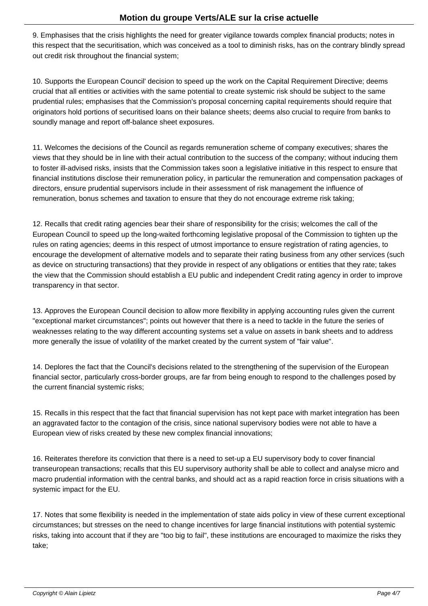9. Emphasises that the crisis highlights the need for greater vigilance towards complex financial products; notes in this respect that the securitisation, which was conceived as a tool to diminish risks, has on the contrary blindly spread out credit risk throughout the financial system;

10. Supports the European Council' decision to speed up the work on the Capital Requirement Directive; deems crucial that all entities or activities with the same potential to create systemic risk should be subject to the same prudential rules; emphasises that the Commission's proposal concerning capital requirements should require that originators hold portions of securitised loans on their balance sheets; deems also crucial to require from banks to soundly manage and report off-balance sheet exposures.

11. Welcomes the decisions of the Council as regards remuneration scheme of company executives; shares the views that they should be in line with their actual contribution to the success of the company; without inducing them to foster ill-advised risks, insists that the Commission takes soon a legislative initiative in this respect to ensure that financial institutions disclose their remuneration policy, in particular the remuneration and compensation packages of directors, ensure prudential supervisors include in their assessment of risk management the influence of remuneration, bonus schemes and taxation to ensure that they do not encourage extreme risk taking;

12. Recalls that credit rating agencies bear their share of responsibility for the crisis; welcomes the call of the European Council to speed up the long-waited forthcoming legislative proposal of the Commission to tighten up the rules on rating agencies; deems in this respect of utmost importance to ensure registration of rating agencies, to encourage the development of alternative models and to separate their rating business from any other services (such as device on structuring transactions) that they provide in respect of any obligations or entities that they rate; takes the view that the Commission should establish a EU public and independent Credit rating agency in order to improve transparency in that sector.

13. Approves the European Council decision to allow more flexibility in applying accounting rules given the current "exceptional market circumstances"; points out however that there is a need to tackle in the future the series of weaknesses relating to the way different accounting systems set a value on assets in bank sheets and to address more generally the issue of volatility of the market created by the current system of "fair value".

14. Deplores the fact that the Council's decisions related to the strengthening of the supervision of the European financial sector, particularly cross-border groups, are far from being enough to respond to the challenges posed by the current financial systemic risks;

15. Recalls in this respect that the fact that financial supervision has not kept pace with market integration has been an aggravated factor to the contagion of the crisis, since national supervisory bodies were not able to have a European view of risks created by these new complex financial innovations;

16. Reiterates therefore its conviction that there is a need to set-up a EU supervisory body to cover financial transeuropean transactions; recalls that this EU supervisory authority shall be able to collect and analyse micro and macro prudential information with the central banks, and should act as a rapid reaction force in crisis situations with a systemic impact for the EU.

17. Notes that some flexibility is needed in the implementation of state aids policy in view of these current exceptional circumstances; but stresses on the need to change incentives for large financial institutions with potential systemic risks, taking into account that if they are "too big to fail", these institutions are encouraged to maximize the risks they take;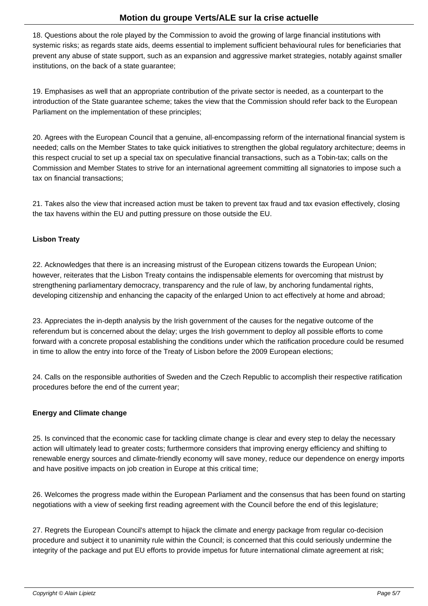18. Questions about the role played by the Commission to avoid the growing of large financial institutions with systemic risks; as regards state aids, deems essential to implement sufficient behavioural rules for beneficiaries that prevent any abuse of state support, such as an expansion and aggressive market strategies, notably against smaller institutions, on the back of a state guarantee;

19. Emphasises as well that an appropriate contribution of the private sector is needed, as a counterpart to the introduction of the State guarantee scheme; takes the view that the Commission should refer back to the European Parliament on the implementation of these principles;

20. Agrees with the European Council that a genuine, all-encompassing reform of the international financial system is needed; calls on the Member States to take quick initiatives to strengthen the global regulatory architecture; deems in this respect crucial to set up a special tax on speculative financial transactions, such as a Tobin-tax; calls on the Commission and Member States to strive for an international agreement committing all signatories to impose such a tax on financial transactions;

21. Takes also the view that increased action must be taken to prevent tax fraud and tax evasion effectively, closing the tax havens within the EU and putting pressure on those outside the EU.

### **Lisbon Treaty**

22. Acknowledges that there is an increasing mistrust of the European citizens towards the European Union; however, reiterates that the Lisbon Treaty contains the indispensable elements for overcoming that mistrust by strengthening parliamentary democracy, transparency and the rule of law, by anchoring fundamental rights, developing citizenship and enhancing the capacity of the enlarged Union to act effectively at home and abroad;

23. Appreciates the in-depth analysis by the Irish government of the causes for the negative outcome of the referendum but is concerned about the delay; urges the Irish government to deploy all possible efforts to come forward with a concrete proposal establishing the conditions under which the ratification procedure could be resumed in time to allow the entry into force of the Treaty of Lisbon before the 2009 European elections;

24. Calls on the responsible authorities of Sweden and the Czech Republic to accomplish their respective ratification procedures before the end of the current year;

### **Energy and Climate change**

25. Is convinced that the economic case for tackling climate change is clear and every step to delay the necessary action will ultimately lead to greater costs; furthermore considers that improving energy efficiency and shifting to renewable energy sources and climate-friendly economy will save money, reduce our dependence on energy imports and have positive impacts on job creation in Europe at this critical time;

26. Welcomes the progress made within the European Parliament and the consensus that has been found on starting negotiations with a view of seeking first reading agreement with the Council before the end of this legislature;

27. Regrets the European Council's attempt to hijack the climate and energy package from regular co-decision procedure and subject it to unanimity rule within the Council; is concerned that this could seriously undermine the integrity of the package and put EU efforts to provide impetus for future international climate agreement at risk;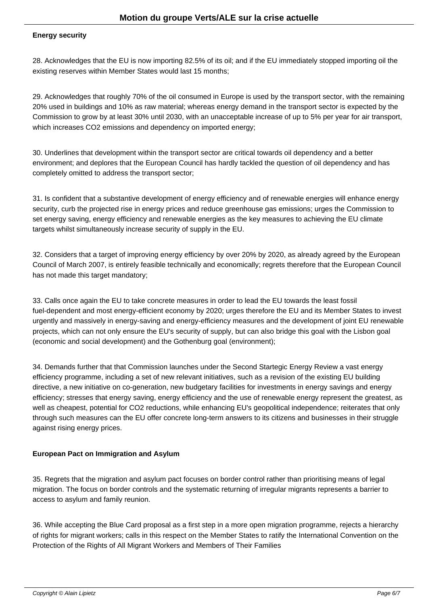#### **Energy security**

28. Acknowledges that the EU is now importing 82.5% of its oil; and if the EU immediately stopped importing oil the existing reserves within Member States would last 15 months;

29. Acknowledges that roughly 70% of the oil consumed in Europe is used by the transport sector, with the remaining 20% used in buildings and 10% as raw material; whereas energy demand in the transport sector is expected by the Commission to grow by at least 30% until 2030, with an unacceptable increase of up to 5% per year for air transport, which increases CO2 emissions and dependency on imported energy;

30. Underlines that development within the transport sector are critical towards oil dependency and a better environment; and deplores that the European Council has hardly tackled the question of oil dependency and has completely omitted to address the transport sector;

31. Is confident that a substantive development of energy efficiency and of renewable energies will enhance energy security, curb the projected rise in energy prices and reduce greenhouse gas emissions; urges the Commission to set energy saving, energy efficiency and renewable energies as the key measures to achieving the EU climate targets whilst simultaneously increase security of supply in the EU.

32. Considers that a target of improving energy efficiency by over 20% by 2020, as already agreed by the European Council of March 2007, is entirely feasible technically and economically; regrets therefore that the European Council has not made this target mandatory;

33. Calls once again the EU to take concrete measures in order to lead the EU towards the least fossil fuel-dependent and most energy-efficient economy by 2020; urges therefore the EU and its Member States to invest urgently and massively in energy-saving and energy-efficiency measures and the development of joint EU renewable projects, which can not only ensure the EU's security of supply, but can also bridge this goal with the Lisbon goal (economic and social development) and the Gothenburg goal (environment);

34. Demands further that that Commission launches under the Second Startegic Energy Review a vast energy efficiency programme, including a set of new relevant initiatives, such as a revision of the existing EU building directive, a new initiative on co-generation, new budgetary facilities for investments in energy savings and energy efficiency; stresses that energy saving, energy efficiency and the use of renewable energy represent the greatest, as well as cheapest, potential for CO2 reductions, while enhancing EU's geopolitical independence; reiterates that only through such measures can the EU offer concrete long-term answers to its citizens and businesses in their struggle against rising energy prices.

### **European Pact on Immigration and Asylum**

35. Regrets that the migration and asylum pact focuses on border control rather than prioritising means of legal migration. The focus on border controls and the systematic returning of irregular migrants represents a barrier to access to asylum and family reunion.

36. While accepting the Blue Card proposal as a first step in a more open migration programme, rejects a hierarchy of rights for migrant workers; calls in this respect on the Member States to ratify the International Convention on the Protection of the Rights of All Migrant Workers and Members of Their Families